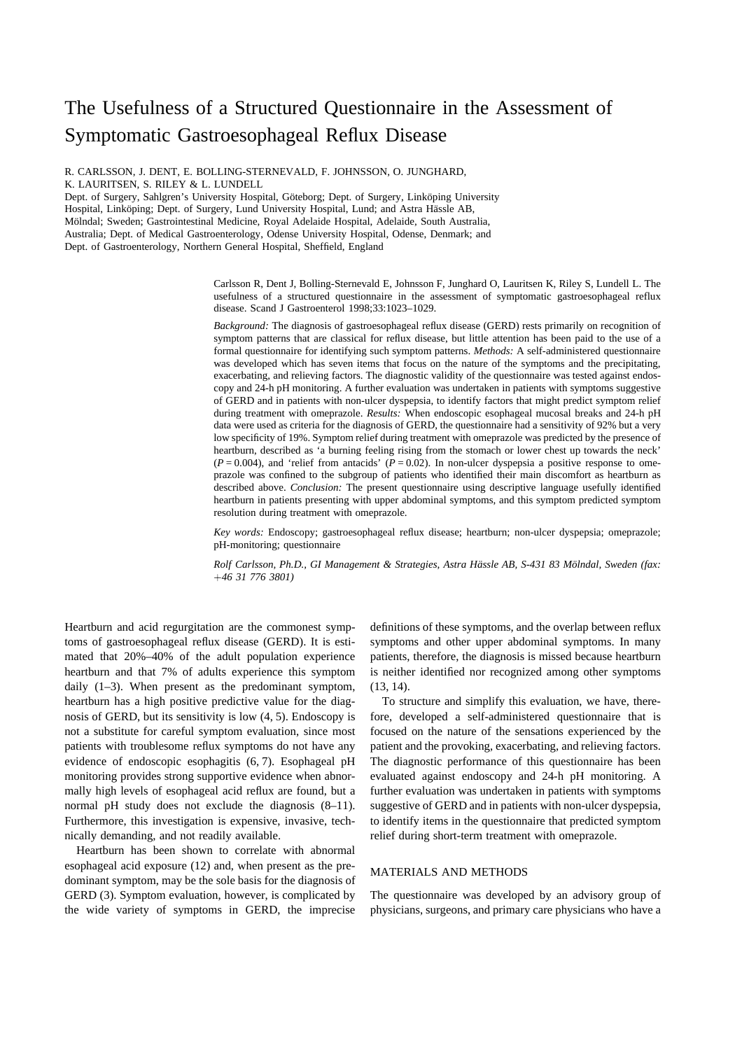# The Usefulness of a Structured Questionnaire in the Assessment of Symptomatic Gastroesophageal Reflux Disease

R. CARLSSON, J. DENT, E. BOLLING-STERNEVALD, F. JOHNSSON, O. JUNGHARD, K. LAURITSEN, S. RILEY & L. LUNDELL

Dept. of Surgery, Sahlgren's University Hospital, Göteborg; Dept. of Surgery, Linköping University Hospital, Linköping; Dept. of Surgery, Lund University Hospital, Lund; and Astra Hässle AB, Mölndal; Sweden; Gastrointestinal Medicine, Royal Adelaide Hospital, Adelaide, South Australia, Australia; Dept. of Medical Gastroenterology, Odense University Hospital, Odense, Denmark; and Dept. of Gastroenterology, Northern General Hospital, Sheffield, England

> Carlsson R, Dent J, Bolling-Sternevald E, Johnsson F, Junghard O, Lauritsen K, Riley S, Lundell L. The usefulness of a structured questionnaire in the assessment of symptomatic gastroesophageal reflux disease. Scand J Gastroenterol 1998;33:1023–1029.

> *Background:* The diagnosis of gastroesophageal reflux disease (GERD) rests primarily on recognition of symptom patterns that are classical for reflux disease, but little attention has been paid to the use of a formal questionnaire for identifying such symptom patterns. *Methods:* A self-administered questionnaire was developed which has seven items that focus on the nature of the symptoms and the precipitating, exacerbating, and relieving factors. The diagnostic validity of the questionnaire was tested against endoscopy and 24-h pH monitoring. A further evaluation was undertaken in patients with symptoms suggestive of GERD and in patients with non-ulcer dyspepsia, to identify factors that might predict symptom relief during treatment with omeprazole. *Results:* When endoscopic esophageal mucosal breaks and 24-h pH data were used as criteria for the diagnosis of GERD, the questionnaire had a sensitivity of 92% but a very low specificity of 19%. Symptom relief during treatment with omeprazole was predicted by the presence of heartburn, described as 'a burning feeling rising from the stomach or lower chest up towards the neck'  $(P = 0.004)$ , and 'relief from antacids'  $(P = 0.02)$ . In non-ulcer dyspepsia a positive response to omeprazole was confined to the subgroup of patients who identified their main discomfort as heartburn as described above. *Conclusion:* The present questionnaire using descriptive language usefully identified heartburn in patients presenting with upper abdominal symptoms, and this symptom predicted symptom resolution during treatment with omeprazole.

> *Key words:* Endoscopy; gastroesophageal reflux disease; heartburn; non-ulcer dyspepsia; omeprazole; pH-monitoring; questionnaire

> *Rolf Carlsson, Ph.D., GI Management & Strategies, Astra Ha¨ssle AB, S-431 83 Mo¨lndal, Sweden (fax: 46 31 776 3801)*

Heartburn and acid regurgitation are the commonest symptoms of gastroesophageal reflux disease (GERD). It is estimated that 20%–40% of the adult population experience heartburn and that 7% of adults experience this symptom daily (1–3). When present as the predominant symptom, heartburn has a high positive predictive value for the diagnosis of GERD, but its sensitivity is low (4, 5). Endoscopy is not a substitute for careful symptom evaluation, since most patients with troublesome reflux symptoms do not have any evidence of endoscopic esophagitis (6, 7). Esophageal pH monitoring provides strong supportive evidence when abnormally high levels of esophageal acid reflux are found, but a normal pH study does not exclude the diagnosis (8–11). Furthermore, this investigation is expensive, invasive, technically demanding, and not readily available.

Heartburn has been shown to correlate with abnormal esophageal acid exposure (12) and, when present as the predominant symptom, may be the sole basis for the diagnosis of GERD (3). Symptom evaluation, however, is complicated by the wide variety of symptoms in GERD, the imprecise

definitions of these symptoms, and the overlap between reflux symptoms and other upper abdominal symptoms. In many patients, therefore, the diagnosis is missed because heartburn is neither identified nor recognized among other symptoms (13, 14).

To structure and simplify this evaluation, we have, therefore, developed a self-administered questionnaire that is focused on the nature of the sensations experienced by the patient and the provoking, exacerbating, and relieving factors. The diagnostic performance of this questionnaire has been evaluated against endoscopy and 24-h pH monitoring. A further evaluation was undertaken in patients with symptoms suggestive of GERD and in patients with non-ulcer dyspepsia, to identify items in the questionnaire that predicted symptom relief during short-term treatment with omeprazole.

# MATERIALS AND METHODS

The questionnaire was developed by an advisory group of physicians, surgeons, and primary care physicians who have a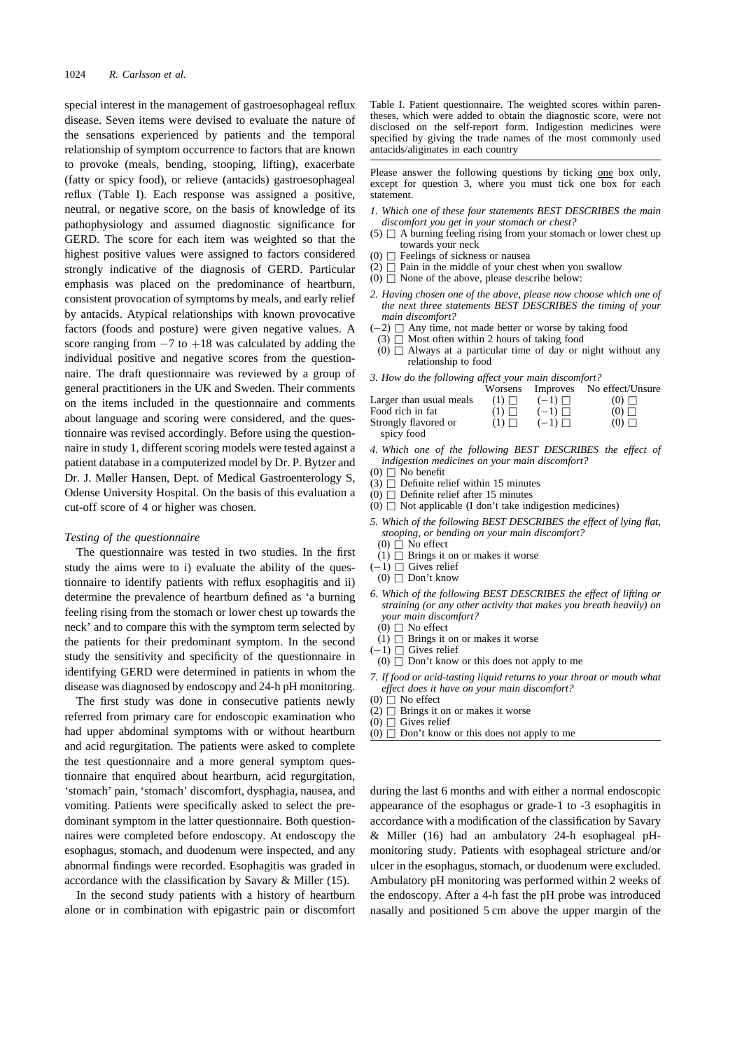special interest in the management of gastroesophageal reflux disease. Seven items were devised to evaluate the nature of the sensations experienced by patients and the temporal relationship of symptom occurrence to factors that are known to provoke (meals, bending, stooping, lifting), exacerbate (fatty or spicy food), or relieve (antacids) gastroesophageal reflux (Table I). Each response was assigned a positive, neutral, or negative score, on the basis of knowledge of its pathophysiology and assumed diagnostic significance for GERD. The score for each item was weighted so that the highest positive values were assigned to factors considered strongly indicative of the diagnosis of GERD. Particular emphasis was placed on the predominance of heartburn, consistent provocation of symptoms by meals, and early relief by antacids. Atypical relationships with known provocative factors (foods and posture) were given negative values. A score ranging from  $-7$  to  $+18$  was calculated by adding the individual positive and negative scores from the questionindividual positive and negative scores from the questionnaire. The draft questionnaire was reviewed by a group of general practitioners in the UK and Sweden. Their comments on the items included in the questionnaire and comments about language and scoring were considered, and the questionnaire was revised accordingly. Before using the questionnaire in study 1, different scoring models were tested against a patient database in a computerized model by Dr. P. Bytzer and Dr. J. Møller Hansen, Dept. of Medical Gastroenterology S, Odense University Hospital. On the basis of this evaluation a cut-off score of 4 or higher was chosen.

## *Testing of the questionnaire*

The questionnaire was tested in two studies. In the first study the aims were to i) evaluate the ability of the questionnaire to identify patients with reflux esophagitis and ii) determine the prevalence of heartburn defined as 'a burning feeling rising from the stomach or lower chest up towards the neck' and to compare this with the symptom term selected by the patients for their predominant symptom. In the second study the sensitivity and specificity of the questionnaire in identifying GERD were determined in patients in whom the disease was diagnosed by endoscopy and 24-h pH monitoring.

The first study was done in consecutive patients newly referred from primary care for endoscopic examination who had upper abdominal symptoms with or without heartburn and acid regurgitation. The patients were asked to complete the test questionnaire and a more general symptom questionnaire that enquired about heartburn, acid regurgitation, 'stomach' pain, 'stomach' discomfort, dysphagia, nausea, and vomiting. Patients were specifically asked to select the predominant symptom in the latter questionnaire. Both questionnaires were completed before endoscopy. At endoscopy the esophagus, stomach, and duodenum were inspected, and any abnormal findings were recorded. Esophagitis was graded in accordance with the classification by Savary & Miller (15).

In the second study patients with a history of heartburn alone or in combination with epigastric pain or discomfort

Table I. Patient questionnaire. The weighted scores within parentheses, which were added to obtain the diagnostic score, were not disclosed on the self-report form. Indigestion medicines were specified by giving the trade names of the most commonly used antacids/aliginates in each country

Please answer the following questions by ticking one box only, except for question 3, where you must tick one box for each statement.

- *1. Which one of these four statements BEST DESCRIBES the main discomfort you get in your stomach or chest?*
- $(5)$   $\Box$  A burning feeling rising from your stomach or lower chest up towards your neck
- (0)  $\Box$  Feelings of sickness or nausea
- (2)  $\Box$  Pain in the middle of your chest when you swallow
- (0)  $\Box$  None of the above, please describe below:
- *2. Having chosen one of the above, please now choose which one of the next three statements BEST DESCRIBES the timing of your main discomfort?*
- $(-2)$   $\Box$  Any time, not made better or worse by taking food  $(3)$   $\Box$  Most often within 2 hours of taking food
- $(3)$   $\Box$  Most often within 2 hours of taking food
- $(0)$   $\Box$  Always at a particular time of day or night without any relationship to food

*3. How do the following affect your main discomfort?*

|                                    | Worsens       | Improves      | No effect/Unsure |
|------------------------------------|---------------|---------------|------------------|
| Larger than usual meals            | $(1)$ $\Box$  | $(-1)$ $\Box$ | $(0)$ $\Box$     |
| Food rich in fat                   | $(1) \square$ | $(-1)$ $\Box$ | $(0)$ $\Box$     |
| Strongly flavored or<br>spicy food | $(1) \square$ | $(-1)$ $\Box$ | $(0)$ $\Box$     |

- *4. Which one of the following BEST DESCRIBES the effect of indigestion medicines on your main discomfort?*
- (0)  $\Box$  No benefit
- (3)  $\Box$  Definite relief within 15 minutes
- $(0)$   $\Box$  Definite relief after 15 minutes
- (0)  $\Box$  Not applicable (I don't take indigestion medicines)
- *5. Which of the following BEST DESCRIBES the effect of lying flat, stooping, or bending on your main discomfort?*
	- $(0)$   $\Box$  No effect
- (1)  $\Box$  Brings it on or makes it worse
- $(-1)$   $\Box$  Gives relief<br>(0)  $\Box$  Don't know
- $(0)$   $\Box$  Don't know
- *6. Which of the following BEST DESCRIBES the effect of lifting or straining (or any other activity that makes you breath heavily) on your main discomfort?*
	- $(0)$   $\Box$  No effect (1)  $\Box$  Brings it on or makes it worse
- $(-1)$   $\Box$  Gives relief
- $-1$ )  $\Box$  Gives relief<br>(0)  $\Box$  Don't know or this does not apply to me
- *7. If food or acid-tasting liquid returns to your throat or mouth what effect does it have on your main discomfort?*
- $(0)$  No effect
- $(2)$   $\Box$  Brings it on or makes it worse
- $(0)$   $\Box$  Gives relief
- (0)  $\Box$  Don't know or this does not apply to me

during the last 6 months and with either a normal endoscopic appearance of the esophagus or grade-1 to -3 esophagitis in accordance with a modification of the classification by Savary & Miller (16) had an ambulatory 24-h esophageal pHmonitoring study. Patients with esophageal stricture and/or ulcer in the esophagus, stomach, or duodenum were excluded. Ambulatory pH monitoring was performed within 2 weeks of the endoscopy. After a 4-h fast the pH probe was introduced nasally and positioned 5 cm above the upper margin of the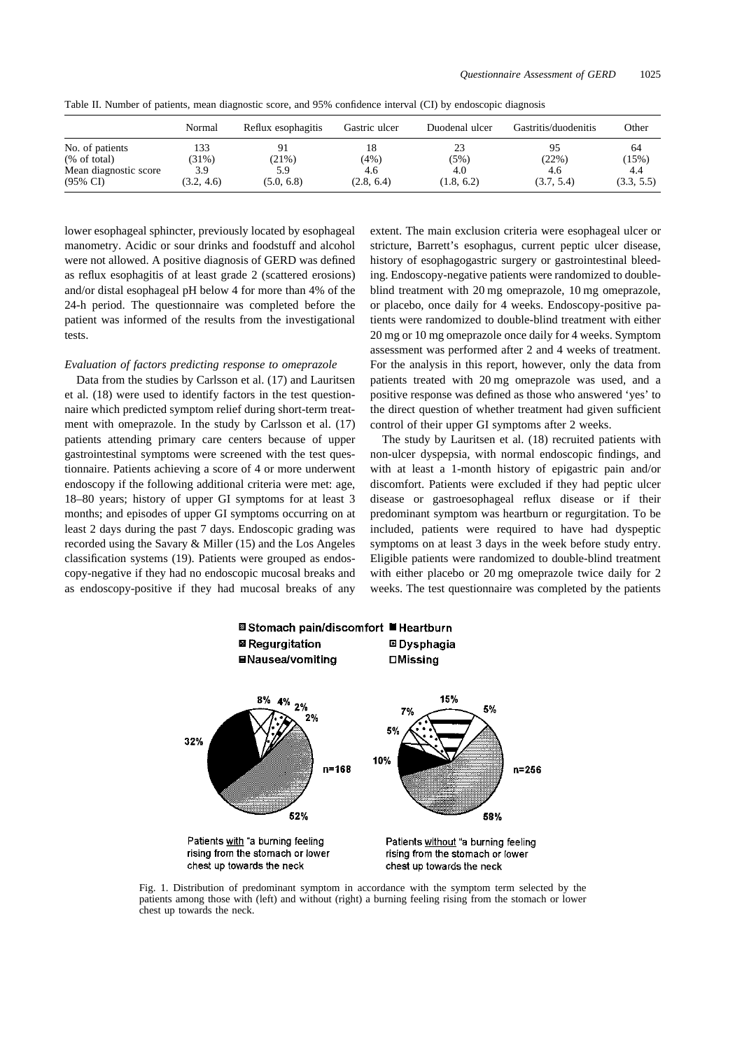|                       | Normal     | Reflux esophagitis | Gastric ulcer | Duodenal ulcer | Gastritis/duodenitis | Other      |
|-----------------------|------------|--------------------|---------------|----------------|----------------------|------------|
| No. of patients       | 133        |                    | 18            | 23             | 95                   | 64         |
| % of total            | $(31\%)$   | (21%)              | (4%)          | (5%)           | (22%)                | (15%)      |
| Mean diagnostic score | 3.9        | 5.9                | 4.6           | 4.0            | 4.6                  | 4.4        |
| $(95\% \text{ CI})$   | (3.2, 4.6) | (5.0, 6.8)         | (2.8, 6.4)    | (1.8, 6.2)     | (3.7, 5.4)           | (3.3, 5.5) |

Table II. Number of patients, mean diagnostic score, and 95% confidence interval (CI) by endoscopic diagnosis

lower esophageal sphincter, previously located by esophageal manometry. Acidic or sour drinks and foodstuff and alcohol were not allowed. A positive diagnosis of GERD was defined as reflux esophagitis of at least grade 2 (scattered erosions) and/or distal esophageal pH below 4 for more than 4% of the 24-h period. The questionnaire was completed before the patient was informed of the results from the investigational tests.

## *Evaluation of factors predicting response to omeprazole*

Data from the studies by Carlsson et al. (17) and Lauritsen et al. (18) were used to identify factors in the test questionnaire which predicted symptom relief during short-term treatment with omeprazole. In the study by Carlsson et al. (17) patients attending primary care centers because of upper gastrointestinal symptoms were screened with the test questionnaire. Patients achieving a score of 4 or more underwent endoscopy if the following additional criteria were met: age, 18–80 years; history of upper GI symptoms for at least 3 months; and episodes of upper GI symptoms occurring on at least 2 days during the past 7 days. Endoscopic grading was recorded using the Savary & Miller (15) and the Los Angeles classification systems (19). Patients were grouped as endoscopy-negative if they had no endoscopic mucosal breaks and as endoscopy-positive if they had mucosal breaks of any

extent. The main exclusion criteria were esophageal ulcer or stricture, Barrett's esophagus, current peptic ulcer disease, history of esophagogastric surgery or gastrointestinal bleeding. Endoscopy-negative patients were randomized to doubleblind treatment with 20 mg omeprazole, 10 mg omeprazole, or placebo, once daily for 4 weeks. Endoscopy-positive patients were randomized to double-blind treatment with either 20 mg or 10 mg omeprazole once daily for 4 weeks. Symptom assessment was performed after 2 and 4 weeks of treatment. For the analysis in this report, however, only the data from patients treated with 20 mg omeprazole was used, and a positive response was defined as those who answered 'yes' to the direct question of whether treatment had given sufficient control of their upper GI symptoms after 2 weeks.

The study by Lauritsen et al. (18) recruited patients with non-ulcer dyspepsia, with normal endoscopic findings, and with at least a 1-month history of epigastric pain and/or discomfort. Patients were excluded if they had peptic ulcer disease or gastroesophageal reflux disease or if their predominant symptom was heartburn or regurgitation. To be included, patients were required to have had dyspeptic symptoms on at least 3 days in the week before study entry. Eligible patients were randomized to double-blind treatment with either placebo or 20 mg omeprazole twice daily for 2 weeks. The test questionnaire was completed by the patients



Fig. 1. Distribution of predominant symptom in accordance with the symptom term selected by the patients among those with (left) and without (right) a burning feeling rising from the stomach or lower chest up towards the neck.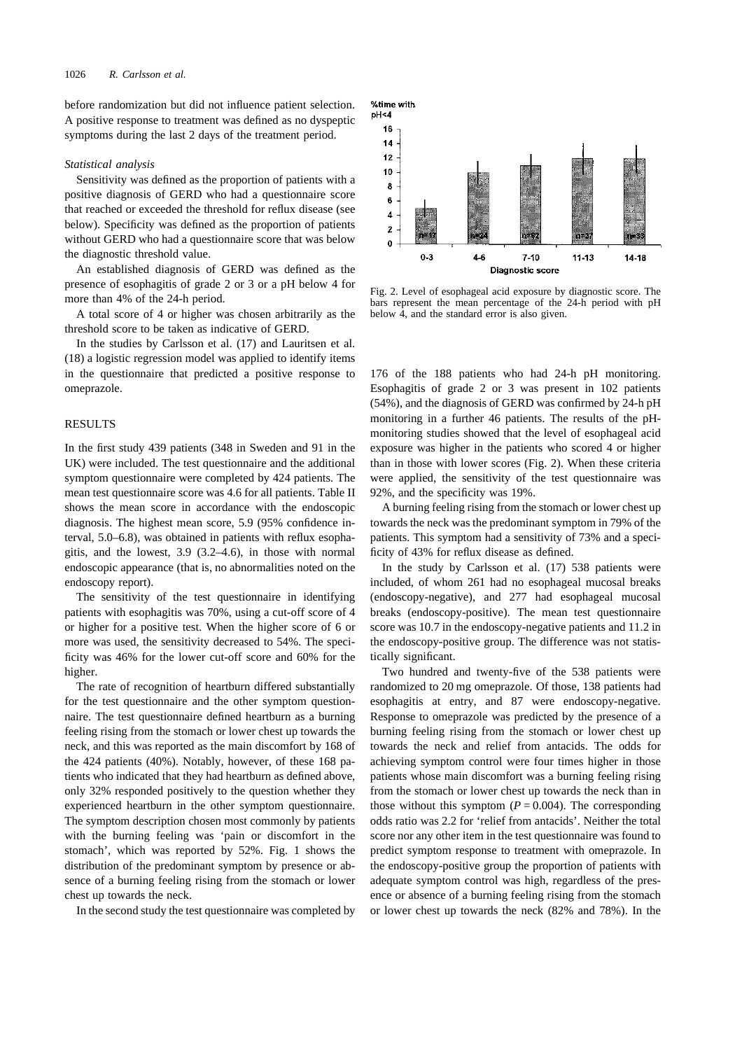before randomization but did not influence patient selection. A positive response to treatment was defined as no dyspeptic symptoms during the last 2 days of the treatment period.

#### *Statistical analysis*

Sensitivity was defined as the proportion of patients with a positive diagnosis of GERD who had a questionnaire score that reached or exceeded the threshold for reflux disease (see below). Specificity was defined as the proportion of patients without GERD who had a questionnaire score that was below the diagnostic threshold value.

An established diagnosis of GERD was defined as the presence of esophagitis of grade 2 or 3 or a pH below 4 for more than 4% of the 24-h period.

A total score of 4 or higher was chosen arbitrarily as the threshold score to be taken as indicative of GERD.

In the studies by Carlsson et al. (17) and Lauritsen et al. (18) a logistic regression model was applied to identify items in the questionnaire that predicted a positive response to omeprazole.

## RESULTS

In the first study 439 patients (348 in Sweden and 91 in the UK) were included. The test questionnaire and the additional symptom questionnaire were completed by 424 patients. The mean test questionnaire score was 4.6 for all patients. Table II shows the mean score in accordance with the endoscopic diagnosis. The highest mean score, 5.9 (95% confidence interval, 5.0–6.8), was obtained in patients with reflux esophagitis, and the lowest, 3.9 (3.2–4.6), in those with normal endoscopic appearance (that is, no abnormalities noted on the endoscopy report).

The sensitivity of the test questionnaire in identifying patients with esophagitis was 70%, using a cut-off score of 4 or higher for a positive test. When the higher score of 6 or more was used, the sensitivity decreased to 54%. The specificity was 46% for the lower cut-off score and 60% for the higher.

The rate of recognition of heartburn differed substantially for the test questionnaire and the other symptom questionnaire. The test questionnaire defined heartburn as a burning feeling rising from the stomach or lower chest up towards the neck, and this was reported as the main discomfort by 168 of the 424 patients (40%). Notably, however, of these 168 patients who indicated that they had heartburn as defined above, only 32% responded positively to the question whether they experienced heartburn in the other symptom questionnaire. The symptom description chosen most commonly by patients with the burning feeling was 'pain or discomfort in the stomach', which was reported by 52%. Fig. 1 shows the distribution of the predominant symptom by presence or absence of a burning feeling rising from the stomach or lower chest up towards the neck.

In the second study the test questionnaire was completed by



Fig. 2. Level of esophageal acid exposure by diagnostic score. The bars represent the mean percentage of the 24-h period with pH below 4, and the standard error is also given.

176 of the 188 patients who had 24-h pH monitoring. Esophagitis of grade 2 or 3 was present in 102 patients (54%), and the diagnosis of GERD was confirmed by 24-h pH monitoring in a further 46 patients. The results of the pHmonitoring studies showed that the level of esophageal acid exposure was higher in the patients who scored 4 or higher than in those with lower scores (Fig. 2). When these criteria were applied, the sensitivity of the test questionnaire was 92%, and the specificity was 19%.

A burning feeling rising from the stomach or lower chest up towards the neck was the predominant symptom in 79% of the patients. This symptom had a sensitivity of 73% and a specificity of 43% for reflux disease as defined.

In the study by Carlsson et al. (17) 538 patients were included, of whom 261 had no esophageal mucosal breaks (endoscopy-negative), and 277 had esophageal mucosal breaks (endoscopy-positive). The mean test questionnaire score was 10.7 in the endoscopy-negative patients and 11.2 in the endoscopy-positive group. The difference was not statistically significant.

Two hundred and twenty-five of the 538 patients were randomized to 20 mg omeprazole. Of those, 138 patients had esophagitis at entry, and 87 were endoscopy-negative. Response to omeprazole was predicted by the presence of a burning feeling rising from the stomach or lower chest up towards the neck and relief from antacids. The odds for achieving symptom control were four times higher in those patients whose main discomfort was a burning feeling rising from the stomach or lower chest up towards the neck than in those without this symptom  $(P = 0.004)$ . The corresponding odds ratio was 2.2 for 'relief from antacids'. Neither the total score nor any other item in the test questionnaire was found to predict symptom response to treatment with omeprazole. In the endoscopy-positive group the proportion of patients with adequate symptom control was high, regardless of the presence or absence of a burning feeling rising from the stomach or lower chest up towards the neck (82% and 78%). In the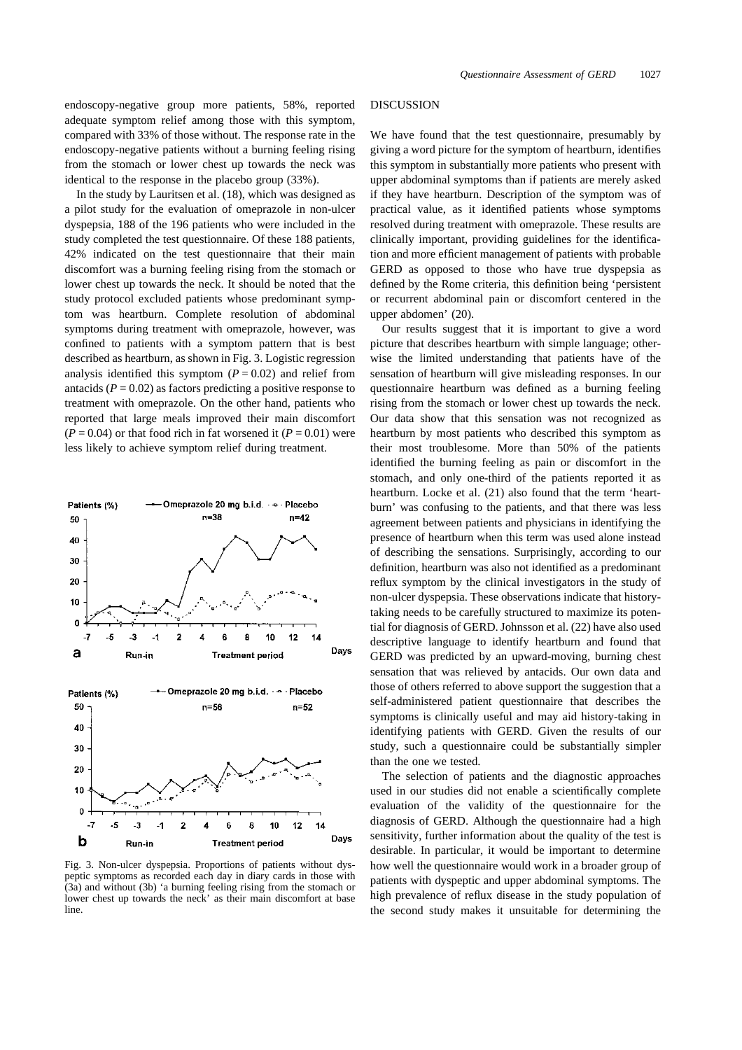endoscopy-negative group more patients, 58%, reported adequate symptom relief among those with this symptom, compared with 33% of those without. The response rate in the endoscopy-negative patients without a burning feeling rising from the stomach or lower chest up towards the neck was identical to the response in the placebo group (33%).

In the study by Lauritsen et al. (18), which was designed as a pilot study for the evaluation of omeprazole in non-ulcer dyspepsia, 188 of the 196 patients who were included in the study completed the test questionnaire. Of these 188 patients, 42% indicated on the test questionnaire that their main discomfort was a burning feeling rising from the stomach or lower chest up towards the neck. It should be noted that the study protocol excluded patients whose predominant symptom was heartburn. Complete resolution of abdominal symptoms during treatment with omeprazole, however, was confined to patients with a symptom pattern that is best described as heartburn, as shown in Fig. 3. Logistic regression analysis identified this symptom  $(P = 0.02)$  and relief from antacids  $(P = 0.02)$  as factors predicting a positive response to treatment with omeprazole. On the other hand, patients who reported that large meals improved their main discomfort  $(P = 0.04)$  or that food rich in fat worsened it  $(P = 0.01)$  were less likely to achieve symptom relief during treatment.



Fig. 3. Non-ulcer dyspepsia. Proportions of patients without dyspeptic symptoms as recorded each day in diary cards in those with (3a) and without (3b) 'a burning feeling rising from the stomach or lower chest up towards the neck' as their main discomfort at base line.

#### DISCUSSION

We have found that the test questionnaire, presumably by giving a word picture for the symptom of heartburn, identifies this symptom in substantially more patients who present with upper abdominal symptoms than if patients are merely asked if they have heartburn. Description of the symptom was of practical value, as it identified patients whose symptoms resolved during treatment with omeprazole. These results are clinically important, providing guidelines for the identification and more efficient management of patients with probable GERD as opposed to those who have true dyspepsia as defined by the Rome criteria, this definition being 'persistent or recurrent abdominal pain or discomfort centered in the upper abdomen' (20).

Our results suggest that it is important to give a word picture that describes heartburn with simple language; otherwise the limited understanding that patients have of the sensation of heartburn will give misleading responses. In our questionnaire heartburn was defined as a burning feeling rising from the stomach or lower chest up towards the neck. Our data show that this sensation was not recognized as heartburn by most patients who described this symptom as their most troublesome. More than 50% of the patients identified the burning feeling as pain or discomfort in the stomach, and only one-third of the patients reported it as heartburn. Locke et al. (21) also found that the term 'heartburn' was confusing to the patients, and that there was less agreement between patients and physicians in identifying the presence of heartburn when this term was used alone instead of describing the sensations. Surprisingly, according to our definition, heartburn was also not identified as a predominant reflux symptom by the clinical investigators in the study of non-ulcer dyspepsia. These observations indicate that historytaking needs to be carefully structured to maximize its potential for diagnosis of GERD. Johnsson et al. (22) have also used descriptive language to identify heartburn and found that GERD was predicted by an upward-moving, burning chest sensation that was relieved by antacids. Our own data and those of others referred to above support the suggestion that a self-administered patient questionnaire that describes the symptoms is clinically useful and may aid history-taking in identifying patients with GERD. Given the results of our study, such a questionnaire could be substantially simpler than the one we tested.

The selection of patients and the diagnostic approaches used in our studies did not enable a scientifically complete evaluation of the validity of the questionnaire for the diagnosis of GERD. Although the questionnaire had a high sensitivity, further information about the quality of the test is desirable. In particular, it would be important to determine how well the questionnaire would work in a broader group of patients with dyspeptic and upper abdominal symptoms. The high prevalence of reflux disease in the study population of the second study makes it unsuitable for determining the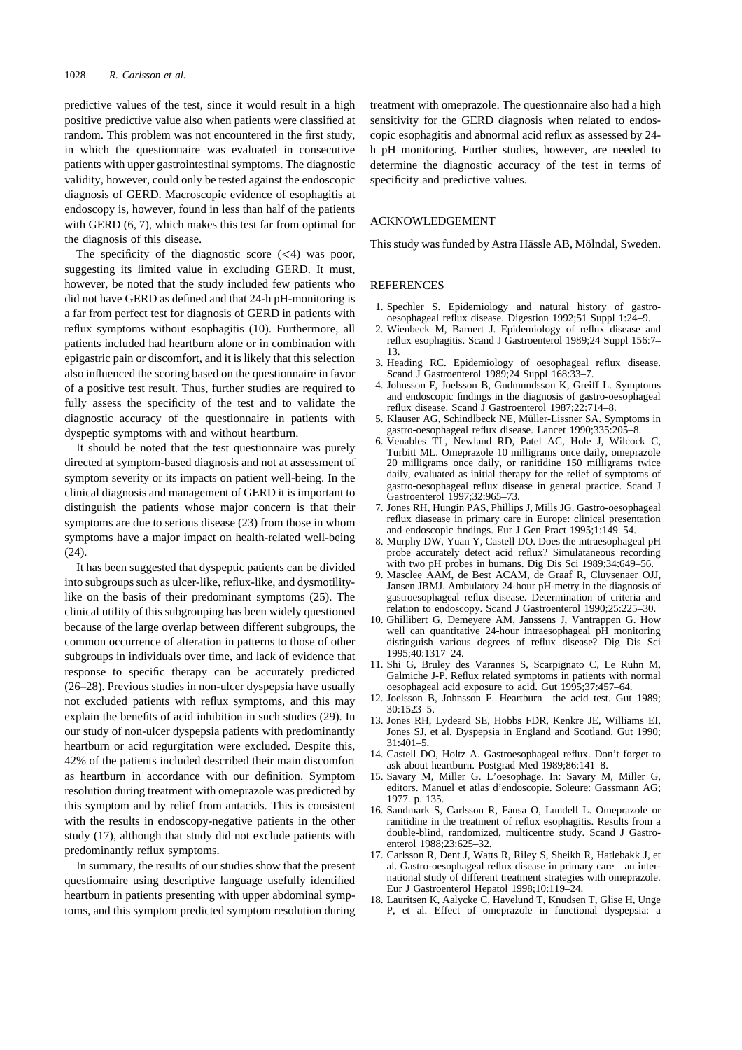predictive values of the test, since it would result in a high positive predictive value also when patients were classified at random. This problem was not encountered in the first study, in which the questionnaire was evaluated in consecutive patients with upper gastrointestinal symptoms. The diagnostic validity, however, could only be tested against the endoscopic diagnosis of GERD. Macroscopic evidence of esophagitis at endoscopy is, however, found in less than half of the patients with GERD (6, 7), which makes this test far from optimal for the diagnosis of this disease.

The specificity of the diagnostic score  $(\leq 4)$  was poor, suggesting its limited value in excluding GERD. It must, however, be noted that the study included few patients who did not have GERD as defined and that 24-h pH-monitoring is a far from perfect test for diagnosis of GERD in patients with reflux symptoms without esophagitis (10). Furthermore, all patients included had heartburn alone or in combination with epigastric pain or discomfort, and it is likely that this selection also influenced the scoring based on the questionnaire in favor of a positive test result. Thus, further studies are required to fully assess the specificity of the test and to validate the diagnostic accuracy of the questionnaire in patients with dyspeptic symptoms with and without heartburn.

It should be noted that the test questionnaire was purely directed at symptom-based diagnosis and not at assessment of symptom severity or its impacts on patient well-being. In the clinical diagnosis and management of GERD it is important to distinguish the patients whose major concern is that their symptoms are due to serious disease (23) from those in whom symptoms have a major impact on health-related well-being (24).

It has been suggested that dyspeptic patients can be divided into subgroups such as ulcer-like, reflux-like, and dysmotilitylike on the basis of their predominant symptoms (25). The clinical utility of this subgrouping has been widely questioned because of the large overlap between different subgroups, the common occurrence of alteration in patterns to those of other subgroups in individuals over time, and lack of evidence that response to specific therapy can be accurately predicted (26–28). Previous studies in non-ulcer dyspepsia have usually not excluded patients with reflux symptoms, and this may explain the benefits of acid inhibition in such studies (29). In our study of non-ulcer dyspepsia patients with predominantly heartburn or acid regurgitation were excluded. Despite this, 42% of the patients included described their main discomfort as heartburn in accordance with our definition. Symptom resolution during treatment with omeprazole was predicted by this symptom and by relief from antacids. This is consistent with the results in endoscopy-negative patients in the other study (17), although that study did not exclude patients with predominantly reflux symptoms.

In summary, the results of our studies show that the present questionnaire using descriptive language usefully identified heartburn in patients presenting with upper abdominal symptoms, and this symptom predicted symptom resolution during

treatment with omeprazole. The questionnaire also had a high sensitivity for the GERD diagnosis when related to endoscopic esophagitis and abnormal acid reflux as assessed by 24 h pH monitoring. Further studies, however, are needed to determine the diagnostic accuracy of the test in terms of specificity and predictive values.

### ACKNOWLEDGEMENT

This study was funded by Astra Hässle AB, Mölndal, Sweden.

#### REFERENCES

- 1. Spechler S. Epidemiology and natural history of gastrooesophageal reflux disease. Digestion 1992;51 Suppl 1:24–9.
- 2. Wienbeck M, Barnert J. Epidemiology of reflux disease and reflux esophagitis. Scand J Gastroenterol 1989;24 Suppl 156:7– 13.
- 3. Heading RC. Epidemiology of oesophageal reflux disease. Scand J Gastroenterol 1989;24 Suppl 168:33-7.
- 4. Johnsson F, Joelsson B, Gudmundsson K, Greiff L. Symptoms and endoscopic findings in the diagnosis of gastro-oesophageal reflux disease. Scand J Gastroenterol 1987;22:714–8.
- 5. Klauser AG, Schindlbeck NE, Müller-Lissner SA. Symptoms in gastro-oesophageal reflux disease. Lancet 1990;335:205–8.
- 6. Venables TL, Newland RD, Patel AC, Hole J, Wilcock C, Turbitt ML. Omeprazole 10 milligrams once daily, omeprazole 20 milligrams once daily, or ranitidine 150 milligrams twice daily, evaluated as initial therapy for the relief of symptoms of gastro-oesophageal reflux disease in general practice. Scand J Gastroenterol 1997;32:965–73.
- 7. Jones RH, Hungin PAS, Phillips J, Mills JG. Gastro-oesophageal reflux diasease in primary care in Europe: clinical presentation and endoscopic findings. Eur J Gen Pract 1995;1:149–54.
- 8. Murphy DW, Yuan Y, Castell DO. Does the intraesophageal pH probe accurately detect acid reflux? Simulataneous recording with two pH probes in humans. Dig Dis Sci 1989;34:649–56.
- 9. Masclee AAM, de Best ACAM, de Graaf R, Cluysenaer OJJ, Jansen JBMJ. Ambulatory 24-hour pH-metry in the diagnosis of gastroesophageal reflux disease. Determination of criteria and relation to endoscopy. Scand J Gastroenterol 1990;25:225–30.
- 10. Ghillibert G, Demeyere AM, Janssens J, Vantrappen G. How well can quantitative 24-hour intraesophageal pH monitoring distinguish various degrees of reflux disease? Dig Dis Sci 1995;40:1317–24.
- 11. Shi G, Bruley des Varannes S, Scarpignato C, Le Ruhn M, Galmiche J-P. Reflux related symptoms in patients with normal oesophageal acid exposure to acid. Gut 1995;37:457–64.
- 12. Joelsson B, Johnsson F. Heartburn—the acid test. Gut 1989; 30:1523–5.
- 13. Jones RH, Lydeard SE, Hobbs FDR, Kenkre JE, Williams EI, Jones SJ, et al. Dyspepsia in England and Scotland. Gut 1990; 31:401–5.
- 14. Castell DO, Holtz A. Gastroesophageal reflux. Don't forget to ask about heartburn. Postgrad Med 1989;86:141–8.
- 15. Savary M, Miller G. L'oesophage. In: Savary M, Miller G, editors. Manuel et atlas d'endoscopie. Soleure: Gassmann AG; 1977. p. 135.
- 16. Sandmark S, Carlsson R, Fausa O, Lundell L. Omeprazole or ranitidine in the treatment of reflux esophagitis. Results from a double-blind, randomized, multicentre study. Scand J Gastroenterol 1988;23:625–32.
- 17. Carlsson R, Dent J, Watts R, Riley S, Sheikh R, Hatlebakk J, et al. Gastro-oesophageal reflux disease in primary care—an international study of different treatment strategies with omeprazole. Eur J Gastroenterol Hepatol 1998;10:119–24.
- Lauritsen K, Aalycke C, Havelund T, Knudsen T, Glise H, Unge P, et al. Effect of omeprazole in functional dyspepsia: a